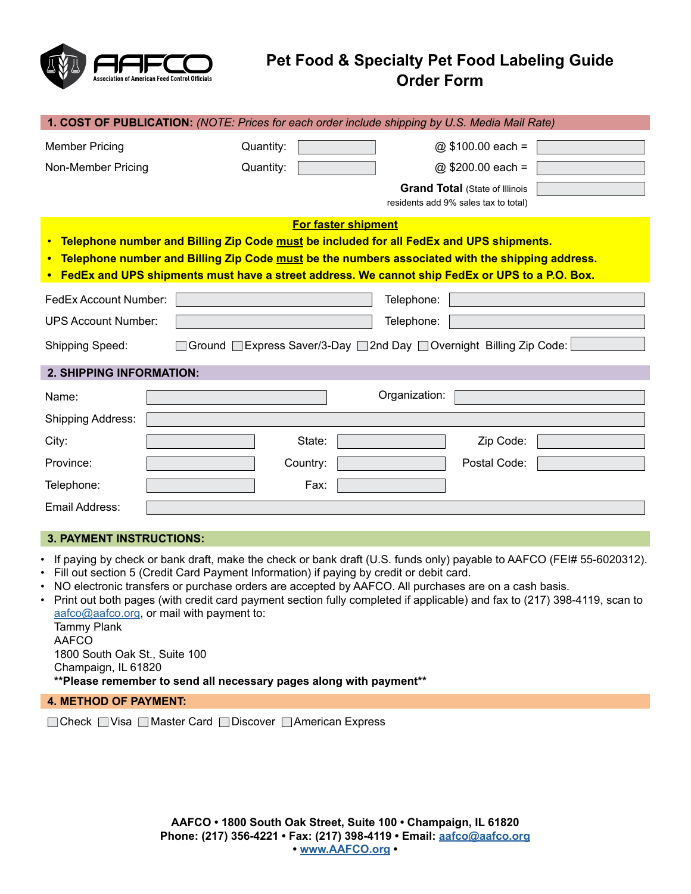

## **Pet Food & Specialty Pet Food Labeling Guide Order Form**

| <b>1. COST OF PUBLICATION:</b> (NOTE: Prices for each order include shipping by U.S. Media Mail Rate)                                                                                                                                                                                                                            |                                                                               |                   |  |  |  |  |
|----------------------------------------------------------------------------------------------------------------------------------------------------------------------------------------------------------------------------------------------------------------------------------------------------------------------------------|-------------------------------------------------------------------------------|-------------------|--|--|--|--|
| <b>Member Pricing</b>                                                                                                                                                                                                                                                                                                            | Quantity:                                                                     | @ \$100.00 each = |  |  |  |  |
| Non-Member Pricing                                                                                                                                                                                                                                                                                                               | Quantity:                                                                     | @ \$200.00 each = |  |  |  |  |
|                                                                                                                                                                                                                                                                                                                                  | <b>Grand Total (State of Illinois</b><br>residents add 9% sales tax to total) |                   |  |  |  |  |
| <b>For faster shipment</b><br>• Telephone number and Billing Zip Code must be included for all FedEx and UPS shipments.<br>• Telephone number and Billing Zip Code must be the numbers associated with the shipping address.<br>• FedEx and UPS shipments must have a street address. We cannot ship FedEx or UPS to a P.O. Box. |                                                                               |                   |  |  |  |  |
| FedEx Account Number:                                                                                                                                                                                                                                                                                                            | Telephone:                                                                    |                   |  |  |  |  |
| <b>UPS Account Number:</b>                                                                                                                                                                                                                                                                                                       | Telephone:                                                                    |                   |  |  |  |  |
| □ Ground □ Express Saver/3-Day □ 2nd Day □ Overnight Billing Zip Code:<br>Shipping Speed:                                                                                                                                                                                                                                        |                                                                               |                   |  |  |  |  |
| <b>2. SHIPPING INFORMATION:</b>                                                                                                                                                                                                                                                                                                  |                                                                               |                   |  |  |  |  |
| Name:                                                                                                                                                                                                                                                                                                                            | Organization:                                                                 |                   |  |  |  |  |
| Shipping Address:                                                                                                                                                                                                                                                                                                                |                                                                               |                   |  |  |  |  |
| City:                                                                                                                                                                                                                                                                                                                            | State:                                                                        | Zip Code:         |  |  |  |  |
| Province:                                                                                                                                                                                                                                                                                                                        | Country:                                                                      | Postal Code:      |  |  |  |  |
| Telephone:                                                                                                                                                                                                                                                                                                                       | Fax:                                                                          |                   |  |  |  |  |
| Email Address:                                                                                                                                                                                                                                                                                                                   |                                                                               |                   |  |  |  |  |

## **3. PAYMENT INSTRUCTIONS:**

- If paying by check or bank draft, make the check or bank draft (U.S. funds only) payable to AAFCO (FEI# 55-6020312).
- Fill out section 5 (Credit Card Payment Information) if paying by credit or debit card.
- NO electronic transfers or purchase orders are accepted by AAFCO. All purchases are on a cash basis.
- Print out both pages (with credit card payment section fully completed if applicable) and fax to (217) 398-4119, scan to [aafco@aafco.org](mailto:aafco%40aafco.org?subject=), or mail with payment to:

Tammy Plank AAFCO 1800 South Oak St., Suite 100 Champaign, IL 61820 **\*\*Please remember to send all necessary pages along with payment\*\***

## **4. METHOD OF PAYMENT:**

□ Check □ Visa □ Master Card □ Discover □ American Express